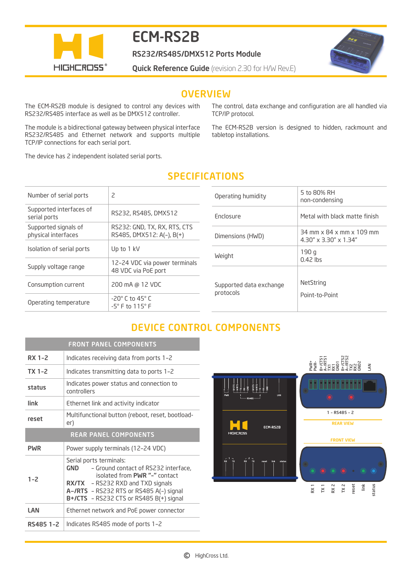

# ECM-RS2B

RS232/RS485/DMX512 Ports Module

**Quick Reference Guide** (revision 2.30 for H/W Rev.E)



## **OVERVIEW**

The ECM-RS2B module is designed to control any devices with RS232/RS485 interface as well as be DMX512 controller.

The module is a bidirectional gateway between physical interface RS232/RS485 and Ethernet network and supports multiple TCP/IP connections for each serial port.

The device has 2 independent isolated serial ports.

The control, data exchange and configuration are all handled via TCP/IP protocol.

The ECM-RS2B version is designed to hidden, rackmount and tabletop installations.

| Number of serial ports                      | 2                                                               |
|---------------------------------------------|-----------------------------------------------------------------|
| Supported interfaces of<br>serial ports     | RS232, RS485, DMX512                                            |
| Supported signals of<br>physical interfaces | RS232: GND, TX, RX, RTS, CTS<br>RS485, DMX512: A(-), B(+)       |
| Isolation of serial ports                   | Up to 1 kV                                                      |
| Supply voltage range                        | 12-24 VDC via power terminals<br>48 VDC via PoE port            |
| Consumption current                         | 200 mA @ 12 VDC                                                 |
| Operating temperature                       | $-20^\circ$ C to 45 $^\circ$ C<br>$-5^\circ$ F to $115^\circ$ F |
|                                             |                                                                 |

| <b>SPECIFICATIONS</b> |  |  |  |
|-----------------------|--|--|--|
|                       |  |  |  |

| Operating humidity                   | 5 to 80% RH<br>non-condensing                                          |
|--------------------------------------|------------------------------------------------------------------------|
| Fnclosure                            | Metal with black matte finish                                          |
| Dimensions (HWD)                     | $34$ mm x $84$ x mm x $109$ mm<br>$4.30'' \times 3.30'' \times 1.34''$ |
| Weight                               | 190 q<br>$0.42$ lbs                                                    |
| Supported data exchange<br>protocols | NetString<br>Point-to-Point                                            |

# DEVICE CONTROL COMPONENTS

|                              | <b>FRONT PANEL COMPONENTS</b>                                                                                                                                                                                                                |  |
|------------------------------|----------------------------------------------------------------------------------------------------------------------------------------------------------------------------------------------------------------------------------------------|--|
| RX 1-2                       | Indicates receiving data from ports 1-2                                                                                                                                                                                                      |  |
| $TX$ 1-2                     | Indicates transmitting data to ports 1-2                                                                                                                                                                                                     |  |
| status                       | Indicates power status and connection to<br>controllers                                                                                                                                                                                      |  |
| link                         | Ethernet link and activity indicator                                                                                                                                                                                                         |  |
| reset                        | Multifunctional button (reboot, reset, bootload-<br>er)                                                                                                                                                                                      |  |
| <b>REAR PANEL COMPONENTS</b> |                                                                                                                                                                                                                                              |  |
| <b>PWR</b>                   | Power supply terminals (12-24 VDC)                                                                                                                                                                                                           |  |
| $1 - 2$                      | Serial ports terminals:<br>- Ground contact of RS232 interface,<br>GND<br>isolated from PWR "-" contact<br><b>RX/TX</b> - RS232 RXD and TXD signals<br>A-/RTS - RS232 RTS or RS485 A(-) signal<br>$B+$ /CTS - RS232 CTS or RS485 B(+) signal |  |
| LAN                          | Ethernet network and PoE power connector                                                                                                                                                                                                     |  |
| RS485 1-2                    | Indicates RS485 mode of ports 1-2                                                                                                                                                                                                            |  |